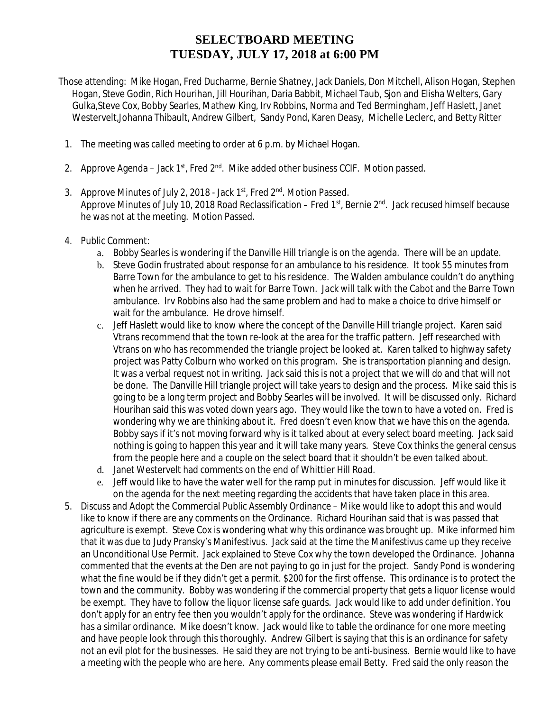## **SELECTBOARD MEETING TUESDAY, JULY 17, 2018 at 6:00 PM**

- Those attending: Mike Hogan, Fred Ducharme, Bernie Shatney, Jack Daniels, Don Mitchell, Alison Hogan, Stephen Hogan, Steve Godin, Rich Hourihan, Jill Hourihan, Daria Babbit, Michael Taub, Sjon and Elisha Welters, Gary Gulka,Steve Cox, Bobby Searles, Mathew King, Irv Robbins, Norma and Ted Bermingham, Jeff Haslett, Janet Westervelt,Johanna Thibault, Andrew Gilbert, Sandy Pond, Karen Deasy, Michelle Leclerc, and Betty Ritter
	- 1. The meeting was called meeting to order at 6 p.m. by Michael Hogan.
- 2. Approve Agenda Jack  $1^{st}$ , Fred  $2^{nd}$ . Mike added other business CCIF. Motion passed.
- 3. Approve Minutes of July 2, 2018 Jack 1st, Fred 2<sup>nd</sup>. Motion Passed. Approve Minutes of July 10, 2018 Road Reclassification – Fred 1st, Bernie 2<sup>nd</sup>. Jack recused himself because he was not at the meeting. Motion Passed.
- 4. Public Comment:
	- a. Bobby Searles is wondering if the Danville Hill triangle is on the agenda. There will be an update.
	- b. Steve Godin frustrated about response for an ambulance to his residence. It took 55 minutes from Barre Town for the ambulance to get to his residence. The Walden ambulance couldn't do anything when he arrived. They had to wait for Barre Town. Jack will talk with the Cabot and the Barre Town ambulance. Irv Robbins also had the same problem and had to make a choice to drive himself or wait for the ambulance. He drove himself.
	- c. Jeff Haslett would like to know where the concept of the Danville Hill triangle project. Karen said Vtrans recommend that the town re-look at the area for the traffic pattern. Jeff researched with Vtrans on who has recommended the triangle project be looked at. Karen talked to highway safety project was Patty Colburn who worked on this program. She is transportation planning and design. It was a verbal request not in writing. Jack said this is not a project that we will do and that will not be done. The Danville Hill triangle project will take years to design and the process. Mike said this is going to be a long term project and Bobby Searles will be involved. It will be discussed only. Richard Hourihan said this was voted down years ago. They would like the town to have a voted on. Fred is wondering why we are thinking about it. Fred doesn't even know that we have this on the agenda. Bobby says if it's not moving forward why is it talked about at every select board meeting. Jack said nothing is going to happen this year and it will take many years. Steve Cox thinks the general census from the people here and a couple on the select board that it shouldn't be even talked about.
	- d. Janet Westervelt had comments on the end of Whittier Hill Road.
	- e. Jeff would like to have the water well for the ramp put in minutes for discussion. Jeff would like it on the agenda for the next meeting regarding the accidents that have taken place in this area.
- 5. Discuss and Adopt the Commercial Public Assembly Ordinance Mike would like to adopt this and would like to know if there are any comments on the Ordinance. Richard Hourihan said that is was passed that agriculture is exempt. Steve Cox is wondering what why this ordinance was brought up. Mike informed him that it was due to Judy Pransky's Manifestivus. Jack said at the time the Manifestivus came up they receive an Unconditional Use Permit. Jack explained to Steve Cox why the town developed the Ordinance. Johanna commented that the events at the Den are not paying to go in just for the project. Sandy Pond is wondering what the fine would be if they didn't get a permit. \$200 for the first offense. This ordinance is to protect the town and the community. Bobby was wondering if the commercial property that gets a liquor license would be exempt. They have to follow the liquor license safe guards. Jack would like to add under definition. You don't apply for an entry fee then you wouldn't apply for the ordinance. Steve was wondering if Hardwick has a similar ordinance. Mike doesn't know. Jack would like to table the ordinance for one more meeting and have people look through this thoroughly. Andrew Gilbert is saying that this is an ordinance for safety not an evil plot for the businesses. He said they are not trying to be anti-business. Bernie would like to have a meeting with the people who are here. Any comments please email Betty. Fred said the only reason the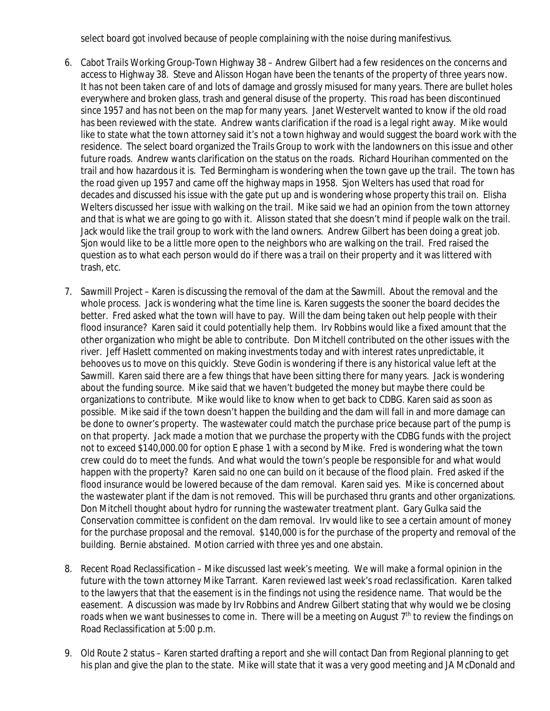select board got involved because of people complaining with the noise during manifestivus.

- 6. Cabot Trails Working Group-Town Highway 38 Andrew Gilbert had a few residences on the concerns and access to Highway 38. Steve and Alisson Hogan have been the tenants of the property of three years now. It has not been taken care of and lots of damage and grossly misused for many years. There are bullet holes everywhere and broken glass, trash and general disuse of the property. This road has been discontinued since 1957 and has not been on the map for many years. Janet Westervelt wanted to know if the old road has been reviewed with the state. Andrew wants clarification if the road is a legal right away. Mike would like to state what the town attorney said it's not a town highway and would suggest the board work with the residence. The select board organized the Trails Group to work with the landowners on this issue and other future roads. Andrew wants clarification on the status on the roads. Richard Hourihan commented on the trail and how hazardous it is. Ted Bermingham is wondering when the town gave up the trail. The town has the road given up 1957 and came off the highway maps in 1958. Sjon Welters has used that road for decades and discussed his issue with the gate put up and is wondering whose property this trail on. Elisha Welters discussed her issue with walking on the trail. Mike said we had an opinion from the town attorney and that is what we are going to go with it. Alisson stated that she doesn't mind if people walk on the trail. Jack would like the trail group to work with the land owners. Andrew Gilbert has been doing a great job. Sjon would like to be a little more open to the neighbors who are walking on the trail. Fred raised the question as to what each person would do if there was a trail on their property and it was littered with trash, etc.
- 7. Sawmill Project Karen is discussing the removal of the dam at the Sawmill. About the removal and the whole process. Jack is wondering what the time line is. Karen suggests the sooner the board decides the better. Fred asked what the town will have to pay. Will the dam being taken out help people with their flood insurance? Karen said it could potentially help them. Irv Robbins would like a fixed amount that the other organization who might be able to contribute. Don Mitchell contributed on the other issues with the river. Jeff Haslett commented on making investments today and with interest rates unpredictable, it behooves us to move on this quickly. Steve Godin is wondering if there is any historical value left at the Sawmill. Karen said there are a few things that have been sitting there for many years. Jack is wondering about the funding source. Mike said that we haven't budgeted the money but maybe there could be organizations to contribute. Mike would like to know when to get back to CDBG. Karen said as soon as possible. Mike said if the town doesn't happen the building and the dam will fall in and more damage can be done to owner's property. The wastewater could match the purchase price because part of the pump is on that property. Jack made a motion that we purchase the property with the CDBG funds with the project not to exceed \$140,000.00 for option E phase 1 with a second by Mike. Fred is wondering what the town crew could do to meet the funds. And what would the town's people be responsible for and what would happen with the property? Karen said no one can build on it because of the flood plain. Fred asked if the flood insurance would be lowered because of the dam removal. Karen said yes. Mike is concerned about the wastewater plant if the dam is not removed. This will be purchased thru grants and other organizations. Don Mitchell thought about hydro for running the wastewater treatment plant. Gary Gulka said the Conservation committee is confident on the dam removal. Irv would like to see a certain amount of money for the purchase proposal and the removal. \$140,000 is for the purchase of the property and removal of the building. Bernie abstained. Motion carried with three yes and one abstain.
- 8. Recent Road Reclassification Mike discussed last week's meeting. We will make a formal opinion in the future with the town attorney Mike Tarrant. Karen reviewed last week's road reclassification. Karen talked to the lawyers that that the easement is in the findings not using the residence name. That would be the easement. A discussion was made by Irv Robbins and Andrew Gilbert stating that why would we be closing roads when we want businesses to come in. There will be a meeting on August 7<sup>th</sup> to review the findings on Road Reclassification at 5:00 p.m.
- 9. Old Route 2 status Karen started drafting a report and she will contact Dan from Regional planning to get his plan and give the plan to the state. Mike will state that it was a very good meeting and JA McDonald and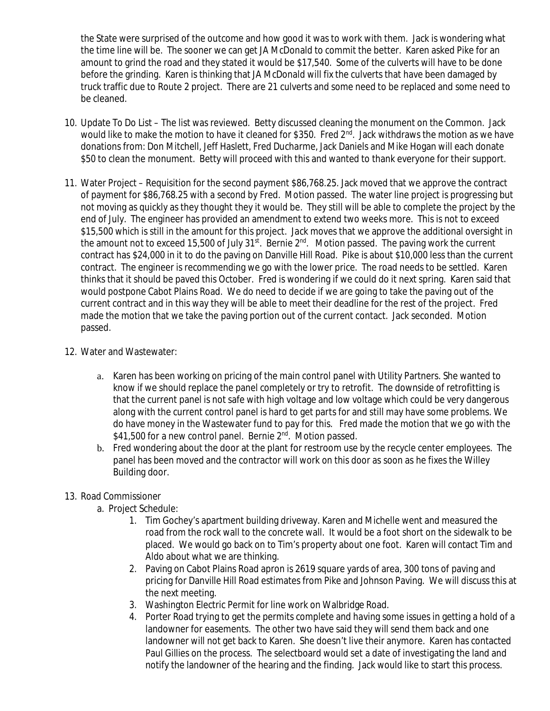the State were surprised of the outcome and how good it was to work with them. Jack is wondering what the time line will be. The sooner we can get JA McDonald to commit the better. Karen asked Pike for an amount to grind the road and they stated it would be \$17,540. Some of the culverts will have to be done before the grinding. Karen is thinking that JA McDonald will fix the culverts that have been damaged by truck traffic due to Route 2 project. There are 21 culverts and some need to be replaced and some need to be cleaned.

- 10. Update To Do List The list was reviewed. Betty discussed cleaning the monument on the Common. Jack would like to make the motion to have it cleaned for \$350. Fred 2<sup>nd</sup>. Jack withdraws the motion as we have donations from: Don Mitchell, Jeff Haslett, Fred Ducharme, Jack Daniels and Mike Hogan will each donate \$50 to clean the monument. Betty will proceed with this and wanted to thank everyone for their support.
- 11. Water Project Requisition for the second payment \$86,768.25. Jack moved that we approve the contract of payment for \$86,768.25 with a second by Fred. Motion passed. The water line project is progressing but not moving as quickly as they thought they it would be. They still will be able to complete the project by the end of July. The engineer has provided an amendment to extend two weeks more. This is not to exceed \$15,500 which is still in the amount for this project. Jack moves that we approve the additional oversight in the amount not to exceed 15,500 of July  $31^{st}$ . Bernie  $2^{nd}$ . Motion passed. The paving work the current contract has \$24,000 in it to do the paving on Danville Hill Road. Pike is about \$10,000 less than the current contract. The engineer is recommending we go with the lower price. The road needs to be settled. Karen thinks that it should be paved this October. Fred is wondering if we could do it next spring. Karen said that would postpone Cabot Plains Road. We do need to decide if we are going to take the paving out of the current contract and in this way they will be able to meet their deadline for the rest of the project. Fred made the motion that we take the paving portion out of the current contact. Jack seconded. Motion passed.
- 12. Water and Wastewater:
	- a. Karen has been working on pricing of the main control panel with Utility Partners. She wanted to know if we should replace the panel completely or try to retrofit. The downside of retrofitting is that the current panel is not safe with high voltage and low voltage which could be very dangerous along with the current control panel is hard to get parts for and still may have some problems. We do have money in the Wastewater fund to pay for this. Fred made the motion that we go with the \$41,500 for a new control panel. Bernie 2<sup>nd</sup>. Motion passed.
	- b. Fred wondering about the door at the plant for restroom use by the recycle center employees. The panel has been moved and the contractor will work on this door as soon as he fixes the Willey Building door.
- 13. Road Commissioner
	- a. Project Schedule:
		- 1. Tim Gochey's apartment building driveway. Karen and Michelle went and measured the road from the rock wall to the concrete wall. It would be a foot short on the sidewalk to be placed. We would go back on to Tim's property about one foot. Karen will contact Tim and Aldo about what we are thinking.
		- 2. Paving on Cabot Plains Road apron is 2619 square yards of area, 300 tons of paving and pricing for Danville Hill Road estimates from Pike and Johnson Paving. We will discuss this at the next meeting.
		- 3. Washington Electric Permit for line work on Walbridge Road.
		- 4. Porter Road trying to get the permits complete and having some issues in getting a hold of a landowner for easements. The other two have said they will send them back and one landowner will not get back to Karen. She doesn't live their anymore. Karen has contacted Paul Gillies on the process. The selectboard would set a date of investigating the land and notify the landowner of the hearing and the finding. Jack would like to start this process.